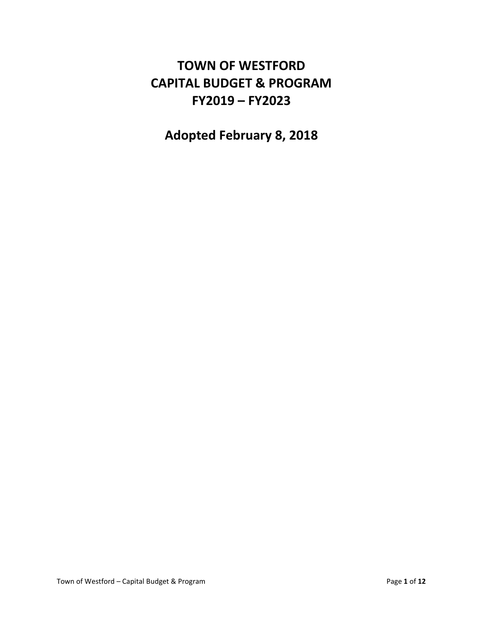# **TOWN OF WESTFORD CAPITAL BUDGET & PROGRAM FY2019 – FY2023**

**Adopted February 8, 2018**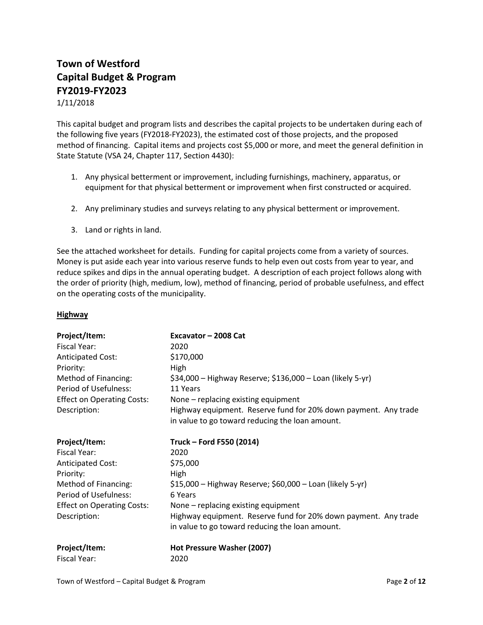# **Town of Westford Capital Budget & Program FY2019-FY2023**

1/11/2018

This capital budget and program lists and describes the capital projects to be undertaken during each of the following five years (FY2018-FY2023), the estimated cost of those projects, and the proposed method of financing. Capital items and projects cost \$5,000 or more, and meet the general definition in State Statute (VSA 24, Chapter 117, Section 4430):

- 1. Any physical betterment or improvement, including furnishings, machinery, apparatus, or equipment for that physical betterment or improvement when first constructed or acquired.
- 2. Any preliminary studies and surveys relating to any physical betterment or improvement.
- 3. Land or rights in land.

See the attached worksheet for details. Funding for capital projects come from a variety of sources. Money is put aside each year into various reserve funds to help even out costs from year to year, and reduce spikes and dips in the annual operating budget. A description of each project follows along with the order of priority (high, medium, low), method of financing, period of probable usefulness, and effect on the operating costs of the municipality.

## **Highway**

| Project/Item:                     | Excavator - 2008 Cat                                            |
|-----------------------------------|-----------------------------------------------------------------|
| Fiscal Year:                      | 2020                                                            |
| Anticipated Cost:                 | \$170,000                                                       |
| Priority:                         | High                                                            |
| Method of Financing:              | \$34,000 - Highway Reserve; \$136,000 - Loan (likely 5-yr)      |
| Period of Usefulness:             | 11 Years                                                        |
| <b>Effect on Operating Costs:</b> | None – replacing existing equipment                             |
| Description:                      | Highway equipment. Reserve fund for 20% down payment. Any trade |
|                                   | in value to go toward reducing the loan amount.                 |
| Project/Item:                     | Truck - Ford F550 (2014)                                        |
| Fiscal Year:                      | 2020                                                            |
| <b>Anticipated Cost:</b>          | \$75,000                                                        |
| Priority:                         | High                                                            |
| Method of Financing:              | \$15,000 - Highway Reserve; \$60,000 - Loan (likely 5-yr)       |
| Period of Usefulness:             | 6 Years                                                         |
| <b>Effect on Operating Costs:</b> | None – replacing existing equipment                             |
| Description:                      | Highway equipment. Reserve fund for 20% down payment. Any trade |
|                                   | in value to go toward reducing the loan amount.                 |
| Project/Item:                     | Hot Pressure Washer (2007)                                      |
| Fiscal Year:                      | 2020                                                            |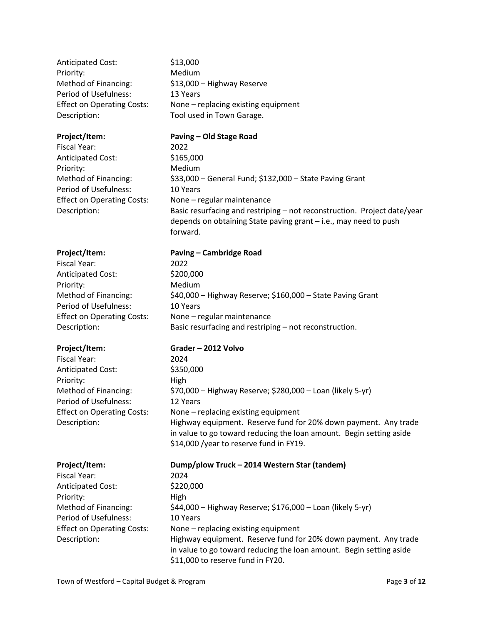| <b>Anticipated Cost:</b>          | \$13,000                                                                                                                                                 |
|-----------------------------------|----------------------------------------------------------------------------------------------------------------------------------------------------------|
| Priority:                         | Medium                                                                                                                                                   |
| Method of Financing:              | \$13,000 - Highway Reserve                                                                                                                               |
| Period of Usefulness:             | 13 Years                                                                                                                                                 |
| <b>Effect on Operating Costs:</b> | None - replacing existing equipment                                                                                                                      |
| Description:                      | Tool used in Town Garage.                                                                                                                                |
| Project/Item:                     | Paving - Old Stage Road                                                                                                                                  |
| <b>Fiscal Year:</b>               | 2022                                                                                                                                                     |
| <b>Anticipated Cost:</b>          | \$165,000                                                                                                                                                |
| Priority:                         | Medium                                                                                                                                                   |
| Method of Financing:              | \$33,000 - General Fund; \$132,000 - State Paving Grant                                                                                                  |
| Period of Usefulness:             | 10 Years                                                                                                                                                 |
| <b>Effect on Operating Costs:</b> | None - regular maintenance                                                                                                                               |
| Description:                      | Basic resurfacing and restriping - not reconstruction. Project date/year<br>depends on obtaining State paving grant - i.e., may need to push<br>forward. |
| Project/Item:                     | <b>Paving - Cambridge Road</b>                                                                                                                           |
| <b>Fiscal Year:</b>               | 2022                                                                                                                                                     |
| <b>Anticipated Cost:</b>          | \$200,000                                                                                                                                                |
| Priority:                         | Medium                                                                                                                                                   |
| Method of Financing:              | \$40,000 - Highway Reserve; \$160,000 - State Paving Grant                                                                                               |
| Period of Usefulness:             | 10 Years                                                                                                                                                 |
| <b>Effect on Operating Costs:</b> | None - regular maintenance                                                                                                                               |
| Description:                      | Basic resurfacing and restriping - not reconstruction.                                                                                                   |
| Project/Item:                     | Grader - 2012 Volvo                                                                                                                                      |
| <b>Fiscal Year:</b>               | 2024                                                                                                                                                     |
| <b>Anticipated Cost:</b>          | \$350,000                                                                                                                                                |
| Priority:                         | High                                                                                                                                                     |
| Method of Financing:              | \$70,000 - Highway Reserve; \$280,000 - Loan (likely 5-yr)                                                                                               |
| Period of Usefulness:             | 12 Years                                                                                                                                                 |
| <b>Effect on Operating Costs:</b> | None - replacing existing equipment                                                                                                                      |
| Description:                      | Highway equipment. Reserve fund for 20% down payment. Any trade                                                                                          |
|                                   | in value to go toward reducing the loan amount. Begin setting aside                                                                                      |
|                                   | \$14,000 /year to reserve fund in FY19.                                                                                                                  |
| Project/Item:                     | Dump/plow Truck - 2014 Western Star (tandem)                                                                                                             |
| <b>Fiscal Year:</b>               | 2024                                                                                                                                                     |
| <b>Anticipated Cost:</b>          | \$220,000                                                                                                                                                |
| Priority:                         | High                                                                                                                                                     |
| Method of Financing:              | \$44,000 - Highway Reserve; \$176,000 - Loan (likely 5-yr)                                                                                               |
| Period of Usefulness:             | 10 Years                                                                                                                                                 |
| <b>Effect on Operating Costs:</b> | None - replacing existing equipment                                                                                                                      |
| Description:                      | Highway equipment. Reserve fund for 20% down payment. Any trade<br>in value to go toward reducing the loan amount. Begin setting aside                   |
|                                   | \$11,000 to reserve fund in FY20.                                                                                                                        |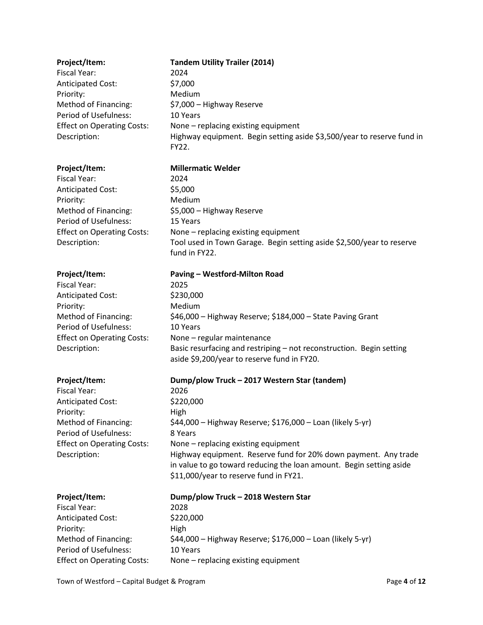| Project/Item:<br><b>Fiscal Year:</b><br><b>Anticipated Cost:</b><br>Priority:<br>Method of Financing:<br>Period of Usefulness:<br><b>Effect on Operating Costs:</b><br>Description: | <b>Tandem Utility Trailer (2014)</b><br>2024<br>\$7,000<br>Medium<br>\$7,000 - Highway Reserve<br>10 Years<br>None - replacing existing equipment<br>Highway equipment. Begin setting aside \$3,500/year to reserve fund in<br>FY22.                                                                                                                                          |
|-------------------------------------------------------------------------------------------------------------------------------------------------------------------------------------|-------------------------------------------------------------------------------------------------------------------------------------------------------------------------------------------------------------------------------------------------------------------------------------------------------------------------------------------------------------------------------|
| Project/Item:<br><b>Fiscal Year:</b><br><b>Anticipated Cost:</b><br>Priority:<br>Method of Financing:<br>Period of Usefulness:<br><b>Effect on Operating Costs:</b><br>Description: | <b>Millermatic Welder</b><br>2024<br>\$5,000<br>Medium<br>\$5,000 - Highway Reserve<br>15 Years<br>None - replacing existing equipment<br>Tool used in Town Garage. Begin setting aside \$2,500/year to reserve<br>fund in FY22.                                                                                                                                              |
| Project/Item:<br><b>Fiscal Year:</b><br><b>Anticipated Cost:</b><br>Priority:<br>Method of Financing:<br>Period of Usefulness:<br><b>Effect on Operating Costs:</b><br>Description: | Paving - Westford-Milton Road<br>2025<br>\$230,000<br>Medium<br>\$46,000 - Highway Reserve; \$184,000 - State Paving Grant<br>10 Years<br>None - regular maintenance<br>Basic resurfacing and restriping - not reconstruction. Begin setting<br>aside \$9,200/year to reserve fund in FY20.                                                                                   |
| Project/Item:<br><b>Fiscal Year:</b><br><b>Anticipated Cost:</b><br>Priority:<br>Method of Financing:<br>Period of Usefulness:<br><b>Effect on Operating Costs:</b><br>Description: | Dump/plow Truck - 2017 Western Star (tandem)<br>2026<br>\$220,000<br>High<br>\$44,000 - Highway Reserve; \$176,000 - Loan (likely 5-yr)<br>8 Years<br>None - replacing existing equipment<br>Highway equipment. Reserve fund for 20% down payment. Any trade<br>in value to go toward reducing the loan amount. Begin setting aside<br>\$11,000/year to reserve fund in FY21. |
| Project/Item:<br><b>Fiscal Year:</b><br><b>Anticipated Cost:</b><br>Priority:<br>Method of Financing:<br>Period of Usefulness:<br><b>Effect on Operating Costs:</b>                 | Dump/plow Truck - 2018 Western Star<br>2028<br>\$220,000<br>High<br>\$44,000 - Highway Reserve; \$176,000 - Loan (likely 5-yr)<br>10 Years<br>None - replacing existing equipment                                                                                                                                                                                             |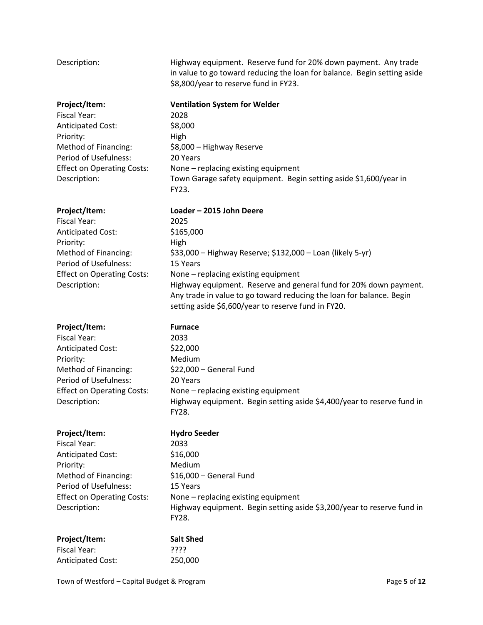| Description:                                                                                                                                                                 | Highway equipment. Reserve fund for 20% down payment. Any trade<br>in value to go toward reducing the loan for balance. Begin setting aside<br>\$8,800/year to reserve fund in FY23.                                                                                                                                                                                       |
|------------------------------------------------------------------------------------------------------------------------------------------------------------------------------|----------------------------------------------------------------------------------------------------------------------------------------------------------------------------------------------------------------------------------------------------------------------------------------------------------------------------------------------------------------------------|
| Project/Item:<br>Fiscal Year:<br><b>Anticipated Cost:</b><br>Priority:<br>Method of Financing:<br>Period of Usefulness:<br><b>Effect on Operating Costs:</b><br>Description: | <b>Ventilation System for Welder</b><br>2028<br>\$8,000<br>High<br>\$8,000 - Highway Reserve<br>20 Years<br>None - replacing existing equipment<br>Town Garage safety equipment. Begin setting aside \$1,600/year in<br>FY23.                                                                                                                                              |
| Project/Item:<br><b>Fiscal Year:</b><br>Anticipated Cost:<br>Priority:<br>Method of Financing:<br>Period of Usefulness:<br><b>Effect on Operating Costs:</b><br>Description: | Loader - 2015 John Deere<br>2025<br>\$165,000<br>High<br>\$33,000 - Highway Reserve; \$132,000 - Loan (likely 5-yr)<br>15 Years<br>None - replacing existing equipment<br>Highway equipment. Reserve and general fund for 20% down payment.<br>Any trade in value to go toward reducing the loan for balance. Begin<br>setting aside \$6,600/year to reserve fund in FY20. |
| Project/Item:<br>Fiscal Year:<br><b>Anticipated Cost:</b><br>Priority:<br>Method of Financing:<br>Period of Usefulness:<br><b>Effect on Operating Costs:</b><br>Description: | <b>Furnace</b><br>2033<br>\$22,000<br>Medium<br>\$22,000 - General Fund<br>20 Years<br>None - replacing existing equipment<br>Highway equipment. Begin setting aside \$4,400/year to reserve fund in<br>FY28.                                                                                                                                                              |
| Project/Item:<br>Fiscal Year:<br><b>Anticipated Cost:</b><br>Priority:<br>Method of Financing:<br>Period of Usefulness:<br><b>Effect on Operating Costs:</b><br>Description: | <b>Hydro Seeder</b><br>2033<br>\$16,000<br>Medium<br>\$16,000 - General Fund<br>15 Years<br>None - replacing existing equipment<br>Highway equipment. Begin setting aside \$3,200/year to reserve fund in<br>FY28.                                                                                                                                                         |
| Project/Item:<br><b>Fiscal Year:</b><br>Anticipated Cost:                                                                                                                    | <b>Salt Shed</b><br>????<br>250,000                                                                                                                                                                                                                                                                                                                                        |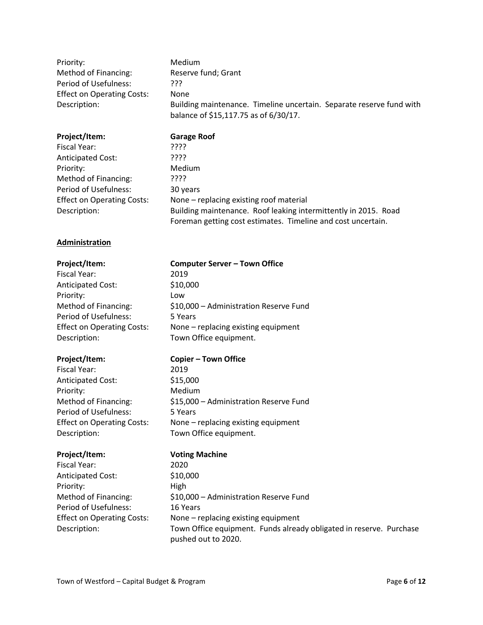| Priority:                         | <b>Medium</b>                                                                                                 |
|-----------------------------------|---------------------------------------------------------------------------------------------------------------|
| Method of Financing:              | Reserve fund; Grant                                                                                           |
| Period of Usefulness:             | ַרְרְךָ                                                                                                       |
| <b>Effect on Operating Costs:</b> | <b>None</b>                                                                                                   |
| Description:                      | Building maintenance. Timeline uncertain. Separate reserve fund with<br>balance of \$15,117.75 as of 6/30/17. |

| Project/Item:                     | <b>Garage Roof</b>                                              |
|-----------------------------------|-----------------------------------------------------------------|
| Fiscal Year:                      | ????                                                            |
| <b>Anticipated Cost:</b>          | ????                                                            |
| Priority:                         | Medium                                                          |
| Method of Financing:              | ????                                                            |
| Period of Usefulness:             | 30 years                                                        |
| <b>Effect on Operating Costs:</b> | None - replacing existing roof material                         |
| Description:                      | Building maintenance. Roof leaking intermittently in 2015. Road |
|                                   | Foreman getting cost estimates. Timeline and cost uncertain.    |

## **Administration**

| <b>Fiscal Year:</b>               |
|-----------------------------------|
| <b>Anticipated Cost:</b>          |
| Priority:                         |
| Method of Financing:              |
| Period of Usefulness:             |
| <b>Effect on Operating Costs:</b> |
| Description:                      |

Fiscal Year: 2019 Anticipated Cost: \$15,000 Priority: Medium Period of Usefulness: 5 Years

Fiscal Year: 2020 Anticipated Cost: \$10,000 Priority: High Period of Usefulness: 16 Years

## **Project/Item: Computer Server – Town Office**

2019  $$10,000$ Low \$10,000 – Administration Reserve Fund 5 Years None – replacing existing equipment Town Office equipment.

## **Project/Item: Copier – Town Office**

Method of Financing: \$15,000 – Administration Reserve Fund Effect on Operating Costs: None – replacing existing equipment Description: Town Office equipment.

## **Project/Item: Voting Machine**

Method of Financing:  $$10,000 -$  Administration Reserve Fund Effect on Operating Costs: None – replacing existing equipment Description: Town Office equipment. Funds already obligated in reserve. Purchase pushed out to 2020.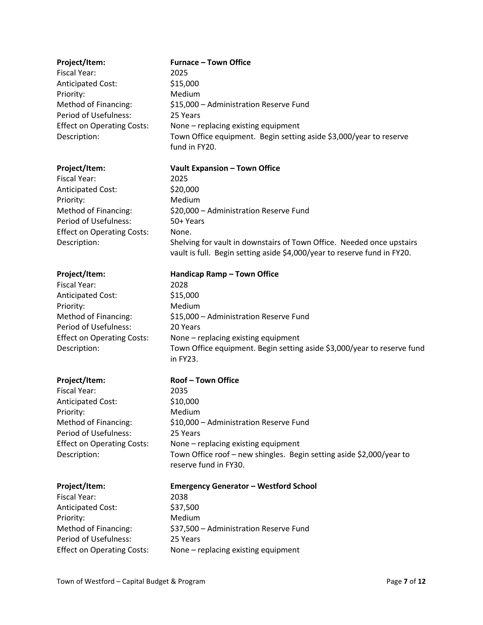| Project/Item:                     | <b>Furnace - Town Office</b>                                             |
|-----------------------------------|--------------------------------------------------------------------------|
| <b>Fiscal Year:</b>               | 2025                                                                     |
| <b>Anticipated Cost:</b>          | \$15,000                                                                 |
| Priority:                         | Medium                                                                   |
| Method of Financing:              | \$15,000 - Administration Reserve Fund                                   |
| Period of Usefulness:             | 25 Years                                                                 |
| <b>Effect on Operating Costs:</b> | None - replacing existing equipment                                      |
| Description:                      | Town Office equipment. Begin setting aside \$3,000/year to reserve       |
|                                   | fund in FY20.                                                            |
| Project/Item:                     | Vault Expansion - Town Office                                            |
| <b>Fiscal Year:</b>               | 2025                                                                     |
| <b>Anticipated Cost:</b>          | \$20,000                                                                 |
| Priority:                         | Medium                                                                   |
| Method of Financing:              | \$20,000 - Administration Reserve Fund                                   |
| Period of Usefulness:             | 50+ Years                                                                |
| <b>Effect on Operating Costs:</b> | None.                                                                    |
| Description:                      | Shelving for vault in downstairs of Town Office. Needed once upstairs    |
|                                   | vault is full. Begin setting aside \$4,000/year to reserve fund in FY20. |
| Project/Item:                     | Handicap Ramp - Town Office                                              |
| <b>Fiscal Year:</b>               | 2028                                                                     |
| <b>Anticipated Cost:</b>          | \$15,000                                                                 |
| Priority:                         | Medium                                                                   |
| Method of Financing:              | \$15,000 - Administration Reserve Fund                                   |
| Period of Usefulness:             | 20 Years                                                                 |
| <b>Effect on Operating Costs:</b> | None - replacing existing equipment                                      |
| Description:                      | Town Office equipment. Begin setting aside \$3,000/year to reserve fund  |
|                                   | in FY23.                                                                 |
| Project/Item:                     | <b>Roof-Town Office</b>                                                  |
| <b>Fiscal Year:</b>               | 2035                                                                     |
| <b>Anticipated Cost:</b>          | \$10,000                                                                 |
| Priority:                         | Medium                                                                   |
| Method of Financing:              | \$10,000 - Administration Reserve Fund                                   |
| Period of Usefulness:             | 25 Years                                                                 |
| <b>Effect on Operating Costs:</b> | None - replacing existing equipment                                      |
| Description:                      | Town Office roof - new shingles. Begin setting aside \$2,000/year to     |
|                                   | reserve fund in FY30.                                                    |
| Project/Item:                     | <b>Emergency Generator - Westford School</b>                             |
| <b>Fiscal Year:</b>               | 2038                                                                     |
| <b>Anticipated Cost:</b>          | \$37,500                                                                 |
| Priority:                         | Medium                                                                   |
| Method of Financing:              | \$37,500 - Administration Reserve Fund                                   |
| Period of Usefulness:             | 25 Years                                                                 |
| <b>Effect on Operating Costs:</b> | None - replacing existing equipment                                      |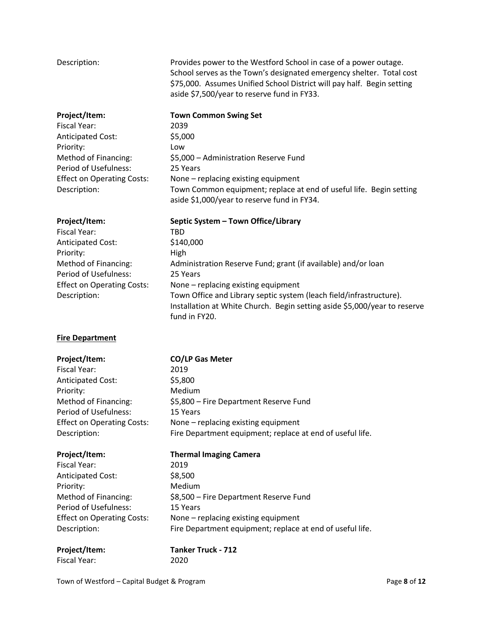| Description:                                                                                                                                                                               | Provides power to the Westford School in case of a power outage.<br>School serves as the Town's designated emergency shelter. Total cost<br>\$75,000. Assumes Unified School District will pay half. Begin setting<br>aside \$7,500/year to reserve fund in FY33.                                                                                               |
|--------------------------------------------------------------------------------------------------------------------------------------------------------------------------------------------|-----------------------------------------------------------------------------------------------------------------------------------------------------------------------------------------------------------------------------------------------------------------------------------------------------------------------------------------------------------------|
| Project/Item:<br><b>Fiscal Year:</b><br><b>Anticipated Cost:</b><br>Priority:<br>Method of Financing:<br><b>Period of Usefulness:</b><br><b>Effect on Operating Costs:</b><br>Description: | <b>Town Common Swing Set</b><br>2039<br>\$5,000<br>Low<br>\$5,000 - Administration Reserve Fund<br>25 Years<br>None - replacing existing equipment<br>Town Common equipment; replace at end of useful life. Begin setting<br>aside \$1,000/year to reserve fund in FY34.                                                                                        |
| Project/Item:<br><b>Fiscal Year:</b><br><b>Anticipated Cost:</b><br>Priority:<br>Method of Financing:<br>Period of Usefulness:<br><b>Effect on Operating Costs:</b><br>Description:        | Septic System - Town Office/Library<br><b>TBD</b><br>\$140,000<br>High<br>Administration Reserve Fund; grant (if available) and/or loan<br>25 Years<br>None - replacing existing equipment<br>Town Office and Library septic system (leach field/infrastructure).<br>Installation at White Church. Begin setting aside \$5,000/year to reserve<br>fund in FY20. |
| <b>Fire Department</b>                                                                                                                                                                     |                                                                                                                                                                                                                                                                                                                                                                 |
| Project/Item:<br>Fiscal Year:<br>Anticipated Cost:<br>Priority:<br>Method of Financing:<br>Period of Usefulness:<br><b>Effect on Operating Costs:</b><br>Description:                      | <b>CO/LP Gas Meter</b><br>2019<br>\$5,800<br>Medium<br>\$5,800 - Fire Department Reserve Fund<br>15 Years<br>None - replacing existing equipment<br>Fire Department equipment; replace at end of useful life.                                                                                                                                                   |
| Project/Item:<br>Fiscal Year:<br><b>Anticipated Cost:</b><br>Priority:<br>Method of Financing:<br>Period of Usefulness:<br><b>Effect on Operating Costs:</b><br>Description:               | <b>Thermal Imaging Camera</b><br>2019<br>\$8,500<br>Medium<br>\$8,500 - Fire Department Reserve Fund<br>15 Years<br>None - replacing existing equipment<br>Fire Department equipment; replace at end of useful life.                                                                                                                                            |
| Project/Item:<br>Fiscal Year:                                                                                                                                                              | <b>Tanker Truck - 712</b><br>2020                                                                                                                                                                                                                                                                                                                               |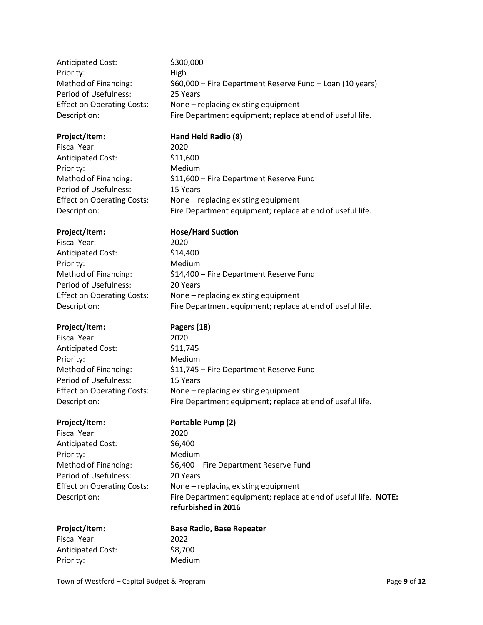Fiscal Year: 2020 Anticipated Cost: \$11,600 Priority: Medium Period of Usefulness: 15 Years

Fiscal Year: 2020 Anticipated Cost: \$14,400 Priority: Medium Period of Usefulness: 20 Years

## Project/Item: Pagers (18)

Fiscal Year: 2020 Anticipated Cost: \$11,745 Priority: Medium Period of Usefulness: 15 Years

Fiscal Year: 2020 Anticipated Cost: \$6,400 Priority: Medium Period of Usefulness: 20 Years

# **Project/Item: Hand Held Radio (8)**

Method of Financing: \$11,600 – Fire Department Reserve Fund Effect on Operating Costs: None – replacing existing equipment Description: Fire Department equipment; replace at end of useful life.

## **Project/Item: Hose/Hard Suction**

Method of Financing:  $$14,400 -$  Fire Department Reserve Fund Effect on Operating Costs: None – replacing existing equipment Description: Fire Department equipment; replace at end of useful life.

Method of Financing: \$11,745 – Fire Department Reserve Fund Effect on Operating Costs: None – replacing existing equipment Description: Fire Department equipment; replace at end of useful life.

## Project/Item: Portable Pump (2)

Method of Financing:  $$6,400$  – Fire Department Reserve Fund Effect on Operating Costs: None – replacing existing equipment Description: Fire Department equipment; replace at end of useful life. **NOTE: refurbished in 2016**

| Project/Item: |
|---------------|
|---------------|

# **Base Radio, Base Repeater**

Fiscal Year: 2022 Anticipated Cost: \$8,700 Priority: Medium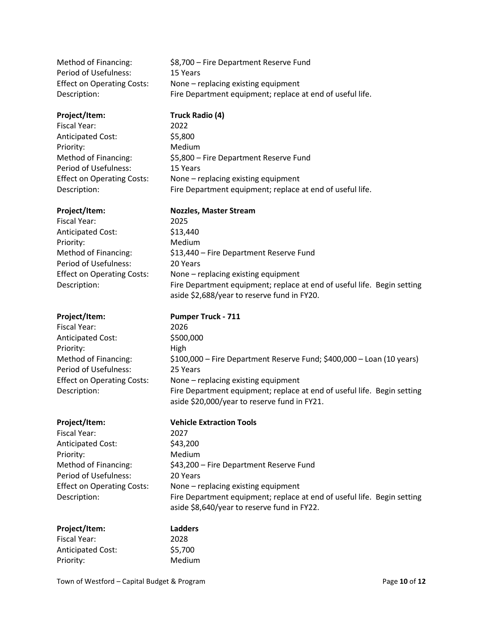Period of Usefulness: 15 Years

Method of Financing: \$8,700 – Fire Department Reserve Fund Effect on Operating Costs: None – replacing existing equipment Description: Fire Department equipment; replace at end of useful life.

Fiscal Year: 2022 Anticipated Cost: \$5,800 Priority: Medium Period of Usefulness: 15 Years

## Project/Item: Truck Radio (4)

Method of Financing: \$5,800 – Fire Department Reserve Fund Effect on Operating Costs: None – replacing existing equipment Description: Fire Department equipment; replace at end of useful life.

**Project/Item: Nozzles, Master Stream** Fiscal Year: 2025 Anticipated Cost: \$13,440 Priority: Medium Method of Financing: \$13,440 – Fire Department Reserve Fund Period of Usefulness: 20 Years Effect on Operating Costs: None – replacing existing equipment Description: Fire Department equipment; replace at end of useful life. Begin setting aside \$2,688/year to reserve fund in FY20.

**Project/Item: Pumper Truck - 711** Fiscal Year: 2026 Anticipated Cost: \$500,000 Priority: High Method of Financing: \$100,000 – Fire Department Reserve Fund; \$400,000 – Loan (10 years) Period of Usefulness: 25 Years Effect on Operating Costs: None – replacing existing equipment Description: Fire Department equipment; replace at end of useful life. Begin setting aside \$20,000/year to reserve fund in FY21.

| Project/Item:                     | <b>Vehicle Extraction Tools</b>                                         |
|-----------------------------------|-------------------------------------------------------------------------|
| Fiscal Year:                      | 2027                                                                    |
| Anticipated Cost:                 | \$43,200                                                                |
| Priority:                         | Medium                                                                  |
| Method of Financing:              | \$43,200 - Fire Department Reserve Fund                                 |
| Period of Usefulness:             | 20 Years                                                                |
| <b>Effect on Operating Costs:</b> | None - replacing existing equipment                                     |
| Description:                      | Fire Department equipment; replace at end of useful life. Begin setting |
|                                   | aside \$8,640/year to reserve fund in FY22.                             |

| Project/Item:            | <b>Ladders</b> |
|--------------------------|----------------|
| Fiscal Year:             | 2028           |
| <b>Anticipated Cost:</b> | \$5,700        |
| Priority:                | Medium         |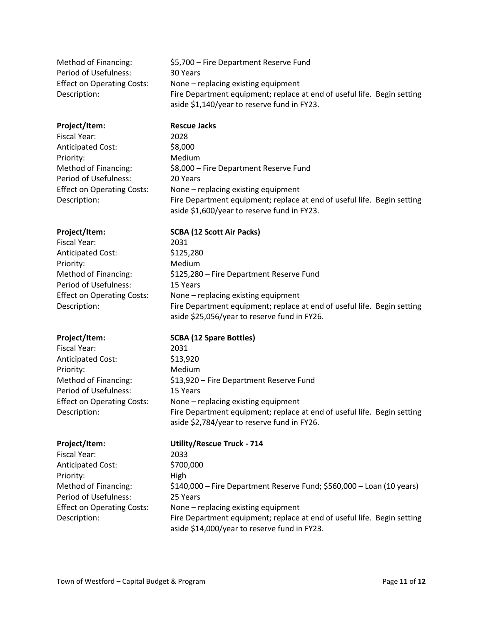Period of Usefulness: 30 Years

Method of Financing: \$5,700 – Fire Department Reserve Fund Effect on Operating Costs: None – replacing existing equipment Description: Fire Department equipment; replace at end of useful life. Begin setting aside \$1,140/year to reserve fund in FY23.

## **Project/Item: Rescue Jacks**

Fiscal Year: 2028 Anticipated Cost: \$8,000 Priority: Medium Method of Financing:  $$8,000 -$  Fire Department Reserve Fund Period of Usefulness: 20 Years

Effect on Operating Costs: None – replacing existing equipment Description: Fire Department equipment; replace at end of useful life. Begin setting aside \$1,600/year to reserve fund in FY23.

## **Project/Item: SCBA (12 Scott Air Packs)**

Fiscal Year: 2031 Anticipated Cost: \$125,280 Priority: Medium Period of Usefulness: 15 Years

Method of Financing: \$125,280 – Fire Department Reserve Fund Effect on Operating Costs: None – replacing existing equipment Description: Fire Department equipment; replace at end of useful life. Begin setting aside \$25,056/year to reserve fund in FY26.

Fiscal Year: 2031 Anticipated Cost: \$13,920 Priority: Medium Period of Usefulness: 15 Years

Fiscal Year: 2033 Anticipated Cost: \$700,000 Priority: High Period of Usefulness: 25 Years

## **Project/Item: SCBA (12 Spare Bottles)**

Method of Financing: \$13,920 – Fire Department Reserve Fund Effect on Operating Costs: None – replacing existing equipment Description: Fire Department equipment; replace at end of useful life. Begin setting aside \$2,784/year to reserve fund in FY26.

## **Project/Item: Utility/Rescue Truck - 714**

Method of Financing: \$140,000 – Fire Department Reserve Fund; \$560,000 – Loan (10 years) Effect on Operating Costs: None – replacing existing equipment Description: Fire Department equipment; replace at end of useful life. Begin setting aside \$14,000/year to reserve fund in FY23.